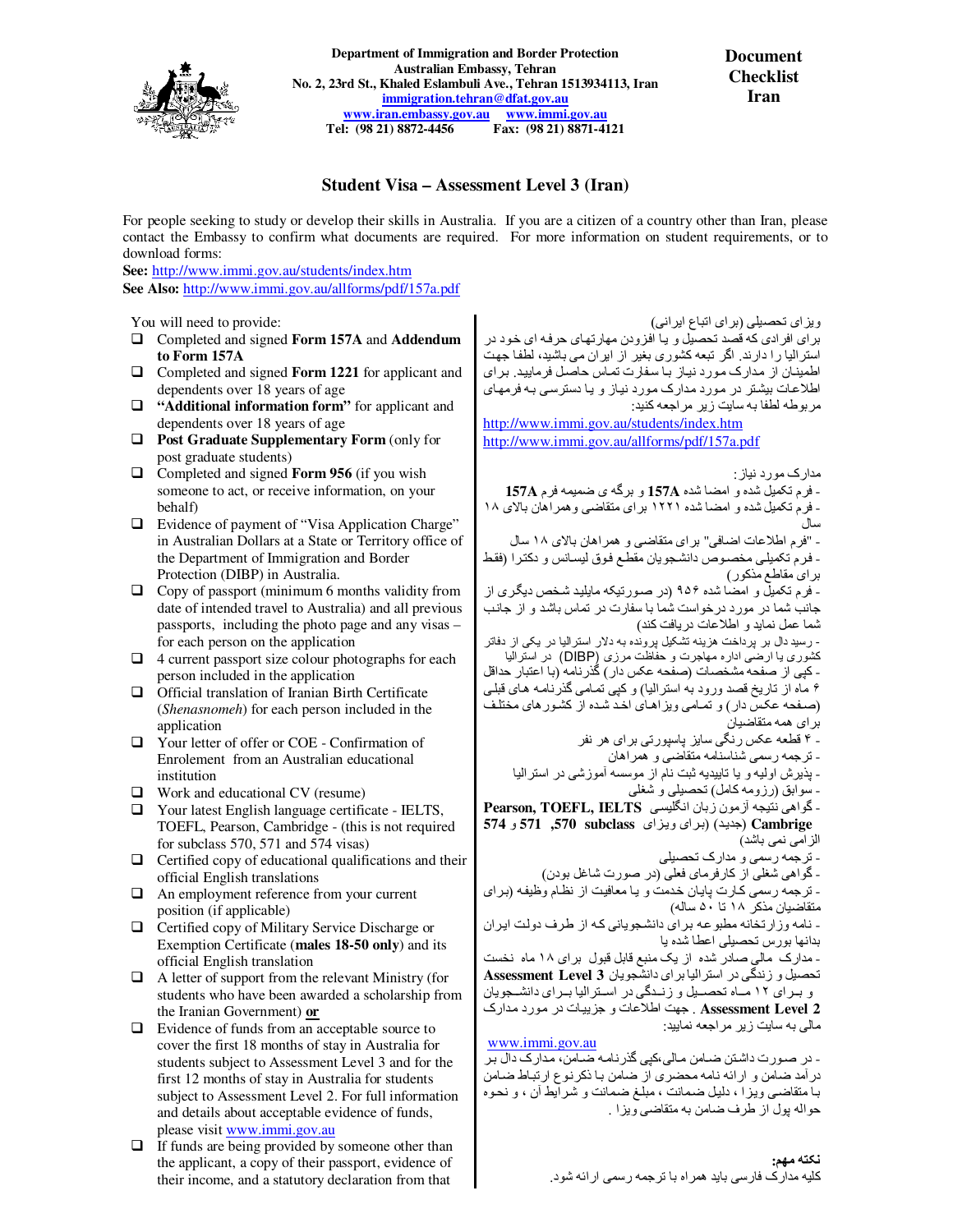

**Department of Immigration and Border Protection Australian Embassy, Tehran No. 2, 23rd St., Khaled Eslambuli Ave., Tehran 1513934113, Iran immigration.tehran@dfat.gov.au www.iran.embassy.gov.au www.immi.gov.au Tel: (98 21) 8872-4456 Fax: (98 21) 8871-4121** 

**Document Checklist Iran** 

# **Student Visa – Assessment Level 3 (Iran)**

For people seeking to study or develop their skills in Australia. If you are a citizen of a country other than Iran, please contact the Embassy to confirm what documents are required. For more information on student requirements, or to download forms:

**See:** http://www.immi.gov.au/students/index.htm **See Also:** http://www.immi.gov.au/allforms/pdf/157a.pdf

You will need to provide:

- Completed and signed **Form 157A** and **Addendum to Form 157A**
- □ Completed and signed **Form 1221** for applicant and dependents over 18 years of age
- $\Box$  "Additional information form" for applicant and dependents over 18 years of age
- **Post Graduate Supplementary Form** (only for post graduate students)
- Completed and signed **Form 956** (if you wish someone to act, or receive information, on your behalf)
- $\Box$  Evidence of payment of "Visa Application Charge" in Australian Dollars at a State or Territory office of the Department of Immigration and Border Protection (DIBP) in Australia.
- $\Box$  Copy of passport (minimum 6 months validity from date of intended travel to Australia) and all previous passports, including the photo page and any visas – for each person on the application
- $\Box$  4 current passport size colour photographs for each person included in the application
- $\Box$  Official translation of Iranian Birth Certificate (*Shenasnomeh*) for each person included in the application
- Your letter of offer or COE Confirmation of Enrolement from an Australian educational institution
- □ Work and educational CV (resume)
- Your latest English language certificate IELTS, TOEFL, Pearson, Cambridge - (this is not required for subclass 570, 571 and 574 visas)
- $\Box$  Certified copy of educational qualifications and their official English translations
- An employment reference from your current position (if applicable)
- □ Certified copy of Military Service Discharge or Exemption Certificate (**males 18-50 only**) and its official English translation
- $\Box$  A letter of support from the relevant Ministry (for students who have been awarded a scholarship from the Iranian Government) **or**
- $\Box$  Evidence of funds from an acceptable source to cover the first 18 months of stay in Australia for students subject to Assessment Level 3 and for the first 12 months of stay in Australia for students subject to Assessment Level 2. For full information and details about acceptable evidence of funds, please visit www.immi.gov.au
- $\Box$  If funds are being provided by someone other than the applicant, a copy of their passport, evidence of their income, and a statutory declaration from that

ويزای تحصيلی (برای اتباع ايرانی) برای افرادی که قصد تحصيل و يا افزودن مھارتھای حرفه ای خود در استراليا را دارند. اگر تبعه کشوری بغير از ايران می باشيد، لطفا جھت اطمينان از مدارک مورد نياز با سفارت تماس حاصل فرماييد. برای اطلاعات بيشتر در مورد مدارک مورد نياز و يا دسترسي به فرمهاي مربوطه لطفا به سايت زير مراجعه کنيد:

http://www.immi.gov.au/students/index.htm http://www.immi.gov.au/allforms/pdf/157a.pdf

مدارک مورد نياز: - فرم تکميل شده و امضا شده **A157** و برگه ی ضميمه فرم **A157** - فرم تکميل شده و امضا شده ١٢٢١ برای متقاضی وھمراھان باDی ١٨ سال - "فرم اطلاعات اضافی" برای متقاضی و ھمراھان بالای ١٨ سال - فرم تکميلی مخصوص دانشجويان مقطع فوق ليسانس و دکترا (فقط برای مقاطع مذکور) - فرم تکميل و امضا شده ٩۵۶ (در صورتيکه مايليد شخص ديگری از جانب شما در مورد درخواست شما با سفارت در تماس باشد و از جانب شما عمل نمايد و اط;عات دريافت کند) - رسيد دال بر پرداخت ھزينه تشکيل پرونده به در استراليا در يکی از دفاتر کشوری يا ارضی اداره مھاجرت و حفاظت مرزی (DIBP (در استراليا - کپی از صفحه مشخصات (صفحه عکس دار) گذرنامه (با اعتبار حداقل ۶ ماه از تاريخ قصد ورود به استراليا) و کپی تمامی گذرنامه ھای قبلی (صفحه عکس دار) و تمامی ويزاھای اخد شده از کشورھای مختلف برای ھمه متقاضيان - ۴ قطعه عکس رنگی سايز پاسپورتی برای ھر نفر - ترجمه رسمی شناسنامه متقاضی و ھمراھان - پذيرش اوليه و يا تاييديه ثبت نام از موسسه آموزشی در استراليا

- سوابق (رزومه کامل) تحصيلی و شغلی
- گواھی نتيجه آزمون زبان انگليسی **IELTS ,TOEFL ,Pearson Cambrige**) جديد) (برای ويزای **subclass ,570 571** و **574** الزامی نمی باشد)
	- ترجمه رسمی و مدارک تحصيلی
	- گواھی شغلی از کارفرمای فعلی (در صورت شاغل بودن)
- ترجمه رسمی کارت پايان خدمت و يا معافيت از نظام وظيفه (برای
- متقاضيان مذکر ١٨ تا ۵٠ ساله ) - نامه وزارتخانه مطبوعه برای دانشجويانی که از طرف دولت ايران
- بدانھا بورس تحصيلی اعطا شده يا - مدارک مالی صادر شده از يک منبع قابل قبول برای ١٨ ماه نخست
- تحصيل و زندگی در استراليا برای دانشجويان **3 Level Assessment** و برای ١٢ ماه تحصيل و زندگی در استراليا برای دانشجويان
- **2 Level Assessment** . جھت اط;عات و جزييات در مورد مدارک مالی به سايت زير مراجعه نماييد:

www.immi.gov.au - در صورت داشتن ضامن مالی،کپی گذرنامه ضامن، مدارک دال بر درآمد ضامن و ارائه نامه محضری از ضامن با ذکرنوع ارتباط ضامن با متقاضی ويزا ، دليل ضمانت ، مبلغ ضمانت و شرايط آن ، و نحوه حواله پول از طرف ضامن به متقاضی ويزا .

**نکته مھم:** 

کليه مدارک فارسی بايد ھمراه با ترجمه رسمی ارائه شود.